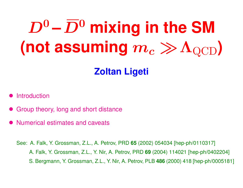# $D^0$  –  $\overline{D}{}^0$  mixing in the SM  $($ not assuming  $m_c \gg \Lambda_{\rm QCD}$  $)$

#### **Zoltan Ligeti**

- **Introduction**
- Group theory, long and short distance
- Numerical estimates and caveats

See: A. Falk, Y. Grossman, Z.L., A. Petrov, PRD **65** (2002) 054034 [hep-ph/0110317] see: A. Falk, Y. Grossman, Z.L., Y. Nir, A. Petrov, PRD **69** (2004) 114021 [hep-ph/0402204] see: S. Bergmann, Y. Grossman, Z.L., Y. Nir, A. Petrov, PLB **486** (2000) 418 [hep-ph/0005181]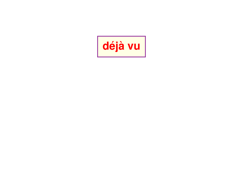# **déjà vu**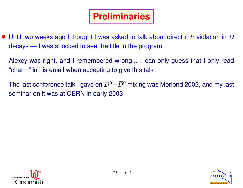• Until two weeks ago I thought I was asked to talk about direct  $CP$  violation in  $D$ decays — I was shocked to see the title in the program

Alexey was right, and I remembered wrong... I can only guess that I only read "charm" in his email when accepting to give this talk

The last conference talk I gave on  $D^0$  –  $\overline{D}{}^0$  mixing was Moriond 2002, and my last seminar on it was at CERN in early 2003



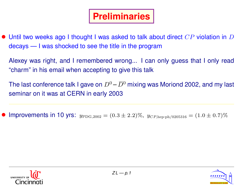$\bullet$  Until two weeks ago I thought I was asked to talk about direct  $CP$  violation in  $D$ decays — I was shocked to see the title in the program

Alexey was right, and I remembered wrong... I can only guess that I only read "charm" in his email when accepting to give this talk

The last conference talk I gave on  $D^0$  –  $\overline{D}{}^0$  mixing was Moriond 2002, and my last seminar on it was at CERN in early 2003

Improvements in 10 yrs:  $y_{\text{PDG},2002} = (0.3 \pm 2.2)\%$ ,  $y_{CP,\text{hep-ph}/0205316} = (1.0 \pm 0.7)\%$ 



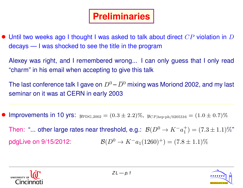• Until two weeks ago I thought I was asked to talk about direct  $CP$  violation in  $D$ decays — I was shocked to see the title in the program

Alexey was right, and I remembered wrong... I can only guess that I only read "charm" in his email when accepting to give this talk

The last conference talk I gave on  $D^0$  –  $\overline{D}{}^0$  mixing was Moriond 2002, and my last seminar on it was at CERN in early 2003

Improvements in 10 yrs:  $y_{\text{PDG},2002} = (0.3 \pm 2.2)\%$ ,  $y_{CP,\text{hep-ph}/0205316} = (1.0 \pm 0.7)\%$ 

Then: "... other large rates near threshold, e.g.:  $\mathcal{B}(D^0 \to K^- a_1^+)$  $\binom{+}{1} = (7.3 \pm 1.1)\%$ " pdgLive on 9/15/2012:  $\mathcal{B}(D^0 \to K^-a_1(1260)^+) = (7.8 \pm 1.1)\%$ 



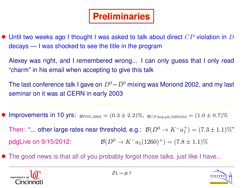• Until two weeks ago I thought I was asked to talk about direct  $CP$  violation in  $D$ decays — I was shocked to see the title in the program

Alexey was right, and I remembered wrong... I can only guess that I only read "charm" in his email when accepting to give this talk

The last conference talk I gave on  $D^0$  –  $\overline{D}{}^0$  mixing was Moriond 2002, and my last seminar on it was at CERN in early 2003

Improvements in 10 yrs:  $y_{\text{PDG},2002} = (0.3 \pm 2.2)\%$ ,  $y_{CP,\text{hep-ph}/0205316} = (1.0 \pm 0.7)\%$ 

Then: "... other large rates near threshold, e.g.:  $\mathcal{B}(D^0 \to K^- a_1^+)$  $\binom{+}{1} = (7.3 \pm 1.1)\%$ " pdgLive on 9/15/2012:  $\mathcal{B}(D^0 \to K^-a_1(1260)^+) = (7.8 \pm 1.1)\%$ 

• The good news is that all of you probably forgot those talks, just like I have...



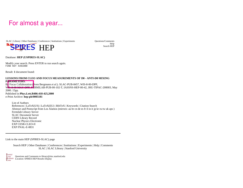#### For almost a year...

SLAC | Library | Other Databases | Conferences | Institutions | Experiments Questions/Comments

Help<br>Search HEP



Database: **HEP (USPIRES-SLAC)**

Modify your search. Press ENTER to run search again. FIND KEY 4391080

Result: **1** document found:

#### **LESSONS FROM CLEO AND FOCUS MEASUREMENTS OF D0 - ANTI-D0 MIXING PARAMETERS.**

By Focus Collaboration (Sven Bergmann *et al.*). SLAC-PUB-8457, WIS-8-00-DPP, WIS-8-00-MAY-DPP, FERMILAB-PUB-00-102-T, IASSNS-HEP-00-42, JHU-TIPAC-200003, May 2000. 15pp. Published in **Phys.Lett.B486:418-425,2000** e-Print Archive: **hep-ph/0005181**

List of Authors References | LaTeX(US) | LaTeX(EU) | BibTeX | Keywords | Citation Search Abstract and Postscript from Los Alamos (mirrors: au br cn de es fr il in it jp kr ru tw uk aps ) Fermilab Library Server SLAC Document Server CERN Library Record Nuclear Physics Electronic EXP CESR-CLEO-II EXP FNAL-E-0831

Link to the main HEP (SPIRES-SLAC) page

Search HEP | Other Databases | Conferences | Institutions | Experiments | Help | Comments SLAC | SLAC Library | Stanford University

Questions and Comments to library@slac.stanford.edu Location: SPIRES HEP Results Display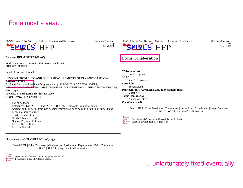#### For almost a year...

SLAC | Library | Other Databases | Conferences | Institutions | Experiments Questions/Comments

 $HEP$  Search HEP

Database: **HEP (USPIRES-SLAC)**

Modify your search. Press ENTER to run search again. FIND KEY 4391080

Result: **1** document found:

#### **LESSONS FROM CLEO AND FOCUS MEASUREMENTS OF D0 - ANTI-D0 MIXING PARAMETERS.**

By Focus Collaboration (Sven Bergmann *et al.*). SLAC-PUB-8457, WIS-8-00-DPP, W<sub>IS-8-00-MAY-DPP, FERMILAB-PUB-00-102-T, IASSNS-HEP-00-42, JHU-TIPAC-200003, May</sub> 2000. 15pp.

Published in **Phys.Lett.B486:418-425,2000** e-Print Archive: **hep-ph/0005181**

List of Authors

References | LaTeX(US) | LaTeX(EU) | BibTeX | Keywords | Citation Search Abstract and Postscript from Los Alamos (mirrors: au br cn de es fr il in it jp kr ru tw uk aps ) Fermilab Library Server SLAC Document Server CERN Library Record Nuclear Physics Electronic EXP CESR-CLEO-II EXP FNAL-E-0831

Link to the main HEP (SPIRES-SLAC) page

Search HEP | Other Databases | Conferences | Institutions | Experiments | Help | Comments SLAC | SLAC Library | Stanford University

Questions and Comments to library@slac.stanford.edu Location: SPIRES HEP Results Display

Help<br>Search HEP

SLAC | Library | Other Databases | Conferences | Institutions | Experiments Questions/Comments



Help<br>Search HEP



**Weizmann Inst.:**  Sven Bergmann **SLAC:**  Yuval Grossman **Fermilab:**  Zoltan Ligeti **Princeton, Inst. Advanced Study & Weizmann Inst.:**  Yosef Nir **Johns Hopkins U.:**  Alexey A. Petrov **(5 authors listed)**

Search HEP | Other Databases | Conferences | Institutions | Experiments | Help | Comments SLAC | SLAC Library | Stanford University



Questions and Comments to library@slac.stanford.edu Location: SPIRES HEP Results Display

#### ... unfortunately fixed eventually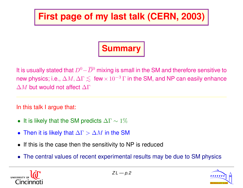#### **First page of my last talk (CERN, 2003)**

## **Summary**

It is usually stated that  $D^0-\overline{D}{}^0$  mixing is small in the SM and therefore sensitive to new physics; i.e.,  $\Delta M, \Delta \Gamma \lesssim {\rm ~few} \times 10^{-3} \, \Gamma$  in the SM, and NP can easily enhance ∆M but would not affect ∆Γ

In this talk I argue that:

- It is likely that the SM predicts  $\Delta\Gamma \sim 1\%$
- Then it is likely that  $\Delta \Gamma > \Delta M$  in the SM
- If this is the case then the sensitivity to NP is reduced
- The central values of recent experimental results may be due to SM physics



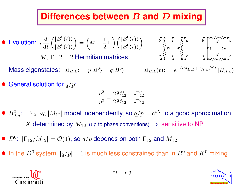#### **Differences between** B **and** D **mixing**

\n- \n**Evolution:**\n
$$
i \frac{d}{dt} \left( \frac{|B^0(t)\rangle}{|\overline{B}^0(t)\rangle} \right) = \left( M - \frac{i}{2} \Gamma \right) \left( \frac{|B^0(t)\rangle}{|\overline{B}^0(t)\rangle} \right) \quad \begin{array}{c}\n \stackrel{\rightarrow}{\longrightarrow} \\
\stackrel{\rightarrow}{\longrightarrow} \\
\stackrel{\rightarrow}{\longrightarrow} \\
\stackrel{\rightarrow}{\longrightarrow} \\
\stackrel{\rightarrow}{\longrightarrow}\n \end{array}
$$
\nMass eigenstates:

\n
$$
|B_{H,L}\rangle = p|B^0\rangle \mp q|\overline{B}^0\rangle \quad |B_{H,L}(t)\rangle =
$$
\n
\n

*d b t t W W b d d b W W t t*

 $\langle B_{H,L}(t)\rangle = e^{-(iM_{H,L}+\Gamma_{H,L}/2)t} |B_{H,L}\rangle$ 

• General solution for  $q/p$ :

$$
\frac{q^2}{p^2}=\frac{2M_{12}^* - i\Gamma_{12}^*}{2M_{12}-i\Gamma_{12}}
$$

- $B_{d,s}^0$ :  $|\Gamma_{12}| \ll |M_{12}|$  model independently, so  $q/p = e^{iX}$  to a good approximation X determined by  $M_{12}$  (up to phase conventions)  $\Rightarrow$  sensitive to NP
- $D^0$ :  $|\Gamma_{12}/M_{12}| = O(1)$ , so  $q/p$  depends on both  $\Gamma_{12}$  and  $M_{12}$
- In the  $D^0$  system,  $|q/p| 1$  is much less constrained than in  $B^0$  and  $K^0$  mixing



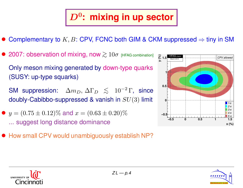#### D<sup>0</sup> **: mixing in up sector**

- Complementary to  $K, B$ : CPV, FCNC both GIM & CKM suppressed  $\Rightarrow$  tiny in SM
- 2007: observation of mixing, now  $\gtrsim 10\sigma$  [HFAG combination] Only meson mixing generated by down-type quarks (SUSY: up-type squarks)

SM suppression:  $\Delta m_D, \, \Delta \Gamma_D \, \leq \, 10^{-2} \, \Gamma, \, \text{ since}$ doubly-Cabibbo-suppressed & vanish in  $SU(3)$  limit

• 
$$
y = (0.75 \pm 0.12)\%
$$
 and  $x = (0.63 \pm 0.20)\%$   
... suggest long distance dominance

• How small CPV would unambiguously establish NP?





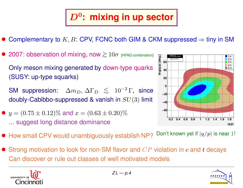## D<sup>0</sup> **: mixing in up sector**

- Complementary to  $K, B$ : CPV, FCNC both GIM & CKM suppressed  $\Rightarrow$  tiny in SM
- 2007: observation of mixing, now  $\gtrsim 10\sigma$  [HFAG combination] Only meson mixing generated by down-type quarks (SUSY: up-type squarks)

SM suppression:  $\Delta m_D, \, \Delta \Gamma_D \, \leq \, 10^{-2} \, \Gamma, \, \text{ since}$ doubly-Cabibbo-suppressed & vanish in  $SU(3)$  limit

•  $y = (0.75 \pm 0.12)\%$  and  $x = (0.63 \pm 0.20)\%$ ... suggest long distance dominance



• Strong motivation to look for non-SM flavor and  $CP$  violation in c and t decays Can discover or rule out classes of well motivated models





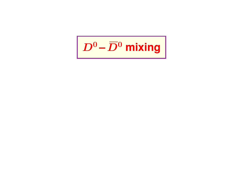$\left|\right. \bm{D^0} \bm{-\overline{D^0}}$  mixing  $\left|$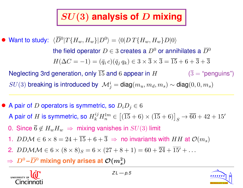#### SU(3) **analysis of** D **mixing**

• Want to study:  $\langle \overline{D}{}^0|T\{H_w, H_w\}|D^0\rangle = \langle 0|DT\{H_w, H_w\}D|0\rangle$ the field operator  $D \in 3$  creates a  $D^0$  or annihilates a  $\overline{D}{}^0$  $H(\Delta C = -1) = (\bar{q}_i c)(\bar{q}_i q_k) \in 3 \times \overline{3} \times \overline{3} = \overline{15} + 6 + \overline{3} + \overline{3}$ Neglecting 3rd generation, only  $\overline{15}$  and 6 appear in H  $\qquad \qquad (\overline{3} = \text{``penguins''})$  $SU(3)$  breaking is introduced by  $\ \mathcal{M}^i_j = \mathsf{diag}(m_u, m_d, m_s) \sim \mathsf{diag}(0, 0, m_s)$ 

• A pair of D operators is symmetric, so  $D_iD_j \in \mathbb{G}$ A pair of  $H$  is symmetric, so  $H^{ij}_k H^{lm}_n \in$  $[(\overline{15} + 6) \times (\overline{15} + 6)]_S \rightarrow \overline{60} + 42 + 15'$ 0. Since  $\overline{6} \notin H_w H_w \Rightarrow$  mixing vanishes in  $SU(3)$  limit 1. DDM  $\in$  6  $\times$  8 = 24 +  $\overline{15}$  + 6 +  $\overline{3}$   $\Rightarrow$  no invariants with HH at  $\mathcal{O}(m_s)$ 2.  $DDMM \in 6 \times (8 \times 8)_S = 6 \times (27 + 8 + 1) = 60 + 24 + 15' + ...$  $\Rightarrow$   $D^0\hbox{--} \overline{D}{}^0$  mixing only arises at  $\mathcal{O}(m_s^2)$ 



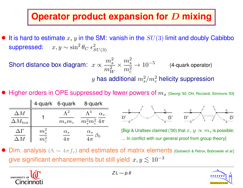#### **Operator product expansion for D mixing**

It is hard to estimate  $x, y$  in the SM: vanish in the  $SU(3)$  limit and doubly Cabibbo suppressed:  $x,y \sim \sin^2\theta_C \ \epsilon_S^2$  $SU(3)$ 

Short distance box diagram:  $x \propto$  $m_s^2$  $m_W^2$ ×  $m_s^2$  $m_c^2$  $\rightarrow 10^{-5}$  (4-quark operator)  $y$  has additional  $m_s^2/m_c^2$  helicity suppression

• Higher orders in OPE suppressed by fewer powers of  $m_s$  [Georgi '92; Ohl, Ricciardi, Simmons '93]

|                                    |                    | 4-quark 6-quark     | 8-quark                          |
|------------------------------------|--------------------|---------------------|----------------------------------|
| $\Delta M$<br>$\Delta M_{\rm box}$ |                    | $m_s m_c$           | $\alpha_s$<br>$m_s^2 m_c^2 4\pi$ |
| $\Delta\Gamma$                     | $m_s^2$<br>$m_c^2$ | $\alpha_s$<br>$\pi$ | $\alpha_s$                       |



[Bigi & Uraltsev claimed ('00) that  $x,y \propto m_s$  is possible; ... In conflict with our general proof from group theory]

Dim. analysis ( $\Lambda \sim 4\pi f_\pi$ ) and estimates of matrix elements [Golowich & Petrov, Bobrowski *et al.*] give significant enhancements but still yield  $x, y \lesssim 10^{-3}$ 



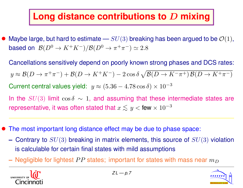#### **Long distance contributions to** D **mixing**

- Maybe large, but hard to estimate  $SU(3)$  breaking has been argued to be  $\mathcal{O}(1)$ , based on  ${\mathcal B}(D^0\to K^+K^-)/{\mathcal B}(D^0\to \pi^+\pi^-) \simeq 2.8$ 
	- Cancellations sensitively depend on poorly known strong phases and DCS rates:  $y \approx \mathcal{B}(D \to \pi^+ \pi^-) + \mathcal{B}(D \to K^+ K^-) - 2 \cos \delta \sqrt{\mathcal{B}(D \to K^- \pi^+) \mathcal{B}(D \to K^+ \pi^-)}$ Current central values yield:  $y \approx (5.36 - 4.78 \cos \delta) \times 10^{-3}$ In the  $SU(3)$  limit  $\cos \delta \sim 1$ , and assuming that these intermediate states are
	- representative, it was often stated that  $x \lesssim y <$  few  $\times$   $10^{-3}$
- The most important long distance effect may be due to phase space:
	- **–** Contrary to SU(3) breaking in matrix elements, this source of SU(3) violation **–** is calculable for certain final states with mild assumptions
	- $-$  Negligible for lightest  $PP$  states; important for states with mass near  $m_D$



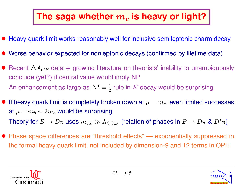#### The saga whether  $m_c$  is heavy or light?

- Heavy quark limit works reasonably well for inclusive semileptonic charm decay
- Worse behavior expected for nonleptonic decays (confirmed by lifetime data)
- Recent  $\Delta A_{CP}$  data + growing literature on theorists' inability to unambiguously conclude (yet?) if central value would imply NP An enhancement as large as  $\Delta I = \frac{1}{2}$  $\frac{1}{2}$  rule in  $K$  decay would be surprising
- If heavy quark limit is completely broken down at  $\mu = m_c$ , even limited successes at  $\mu = m_b \sim 3m_c$  would be surprising Theory for  $B \to D\pi$  uses  $m_{c,b} \gg \Lambda_{\rm QCD}$  [relation of phases in  $B \to D\pi$  &  $D^*\pi$ ]
- Phase space differences are "threshold effects" exponentially suppressed in the formal heavy quark limit, not included by dimension-9 and 12 terms in OPE



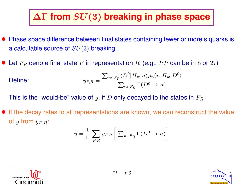#### ∆Γ **from** SU(3) **breaking in phase space**

- Phase space difference between final states containing fewer or more s quarks is a calculable source of  $SU(3)$  breaking
- Let  $F_R$  denote final state F in representation R (e.g., PP can be in 8 or 27)

**Define:** 
$$
y_{F,R} = \frac{\sum_{n \in F_R} \langle \overline{D}^0 | H_w | n \rangle \rho_n \langle n | H_w | D^0 \rangle}{\sum_{n \in F_R} \Gamma(D^0 \to n)}
$$

This is the "would-be" value of y, if D only decayed to the states in  $F_R$ 

• If the decay rates to all representations are known, we can reconstruct the value of y from  $y_{F,R}$ :

$$
y = \frac{1}{\Gamma} \sum_{F,R} y_{F,R} \left[ \sum_{n \in F_R} \Gamma(D^0 \to n) \right]
$$



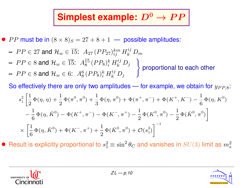#### **Simplest example:**  $D^0 \rightarrow PP$

• PP must be in  $(8 \times 8)_S = 27 + 8 + 1$  — possible amplitudes:

- $\textbf{\textit{P}}\,P\in 27$  and  $\mathcal{H}_w\in \overline{15}\textbf{:\ \ } A_{27}\,(PP_{27})_{ij}^{km}\,H_k^{ij}\,D_m$
- **−**  $PP \in 8$  and  $\mathcal{H}_w \in \overline{15}$ :  $A_8^{\overline{15}} (PP_8)^k_i H^{ij}_k D_j$ )
- **−**  $PP \in 8$  and  $\mathcal{H}_w \in 6$ :  $A_8^6 (PP_8)_i^k H_k^{ij} D_j$

proportional to each other

So effectively there are only two amplitudes — for example, we obtain for  $y_{PP,8}$ :

$$
s_1^2 \left[ \frac{1}{2} \Phi(\eta, \eta) + \frac{1}{2} \Phi(\pi^0, \pi^0) + \frac{1}{3} \Phi(\eta, \pi^0) + \Phi(\pi^+, \pi^-) + \Phi(K^+, K^-) - \frac{1}{6} \Phi(\eta, K^0) \right.- \frac{1}{6} \Phi(\eta, \bar{K}^0) - \Phi(K^+, \pi^-) - \Phi(K^-, \pi^+) - \frac{1}{2} \Phi(K^0, \pi^0) - \frac{1}{2} \Phi(\bar{K}^0, \pi^0) \right]\times \left[ \frac{1}{6} \Phi(\eta, \bar{K}^0) + \Phi(K^-, \pi^+) + \frac{1}{2} \Phi(\bar{K}^0, \pi^0) + \mathcal{O}(s_1^2) \right]^{-1}
$$

• Result is explicitly proportional to  $s_1^2 \equiv \sin^2 \theta_C$  and vanishes in  $SU(3)$  limit as  $m_s^2$ 



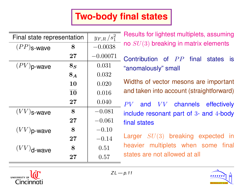#### **Two-body final states**

| Final state representation |                 | $y_{F,R}\,/s_1^2$ | Results for lightest multiplets, assuming       |  |
|----------------------------|-----------------|-------------------|-------------------------------------------------|--|
| $(PP)$ <sub>S</sub> -wave  | 8               | $-0.0038$         | no $SU(3)$ breaking in matrix elements          |  |
|                            | $27\,$          | $-0.00071$        | Contribution of PP final<br>states<br><b>is</b> |  |
| $(PV)$ p-wave              | 8 <sub>S</sub>  | 0.031             | "anomalously" small                             |  |
|                            | $8_A$           | 0.032             |                                                 |  |
|                            | 10              | 0.020             | Widths of vector mesons are important           |  |
|                            | $\overline{10}$ | 0.016             | and taken into account (straightforward)        |  |
|                            | 27              | 0.040             | and VV channels effectively<br>$PV^-$           |  |
| $(VV)$ s-wave              | 8               | $-0.081$          | include resonant part of 3- and 4-body          |  |
|                            | $27\,$          | $-0.061$          | final states                                    |  |
| $(VV)$ p-wave              | 8               | $-0.10$           |                                                 |  |
|                            | 27              | $-0.14$           | Larger $SU(3)$ breaking expected in             |  |
| $(VV)$ <sub>d-wave</sub>   | 8               | 0.51              | heavier multiplets when some final              |  |
|                            | 27              | 0.57              | states are not allowed at all                   |  |



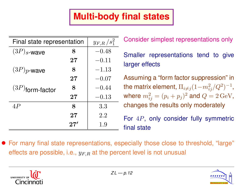#### **Multi-body final states**

| Final state representation |             | $y_{F,R}/s_1^2$ |
|----------------------------|-------------|-----------------|
| $(3P)_s$ -wave             | 8           | $-0.48$         |
|                            | $\bf 27$    | $-0.11$         |
| $(3P)p$ -wave              | 8           | $-1.13$         |
|                            | 27          | $-0.07$         |
| $(3P)$ form-factor         | 8           | $-0.44$         |
|                            | 27          | $-0.13$         |
| 4P                         | $\mathbf 8$ | 3.3             |
|                            | 27          | 2.2             |
|                            | 27'         | 1.9             |

Consider simplest representations only

Smaller representations tend to give larger effects

Assuming a "form factor suppression" in the matrix element,  $\Pi_{i\neq j}(1\!-\!m_{ij}^2/Q^2)^{-1}$ , where  $m_{ij}^2=(p_i+p_j)^2$  and  $Q=2\,{\rm GeV},$ changes the results only moderately

For 4P, only consider fully symmetric final state

• For many final state representations, especially those close to threshold, "large" effects are possible, i.e.,  $y_{F,R}$  at the percent level is not unusual



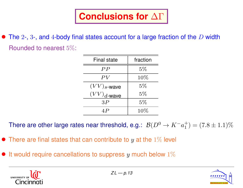• The  $2$ -,  $3$ -, and  $4$ -body final states account for a large fraction of the  $D$  width Rounded to nearest 5%:

| <b>Final state</b>        | fraction |  |
|---------------------------|----------|--|
| PP                        | $5\%$    |  |
| PV                        | 10%      |  |
| $(VV)$ <sub>s</sub> -wave | $5\%$    |  |
| $(VV)_{d}$ -wave          | $5\%$    |  |
| 3P                        | $5\%$    |  |
| 4 P                       | 10%      |  |

There are other large rates near threshold, e.g.:  $\mathcal{B}(D^0 \to K^- a_1^+)$  $\binom{+}{1} = (7.8 \pm 1.1)\%$ 

- There are final states that can contribute to y at the  $1\%$  level
- It would require cancellations to suppress y much below  $1\%$



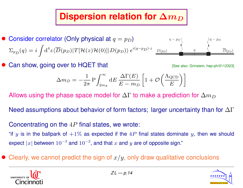#### **Dispersion relation for**  $\Delta m_D$

- Consider correlator (Only physical at  $q = p_D$ )  $\Sigma_{p}(\boldsymbol{q}) = i$  $\overline{\mathcal{L}}$  ${\rm d}^4z \langle \overline{D}(p_D)|T[{\cal H}(z){\cal H}(0)]|D(p_D)\rangle \ e^{i(q-p_D)\cdot z} \ \ \underline{\overset{D(p_D)}=}$  $\sim$  $\sim$ ) )  $\tau$  pdf ?  $\mathbf{r}$
- **Can show, going over to HQET that Can show, going over to HQET that Example 20112323** [See also: Grinstein, hep-ph/0112323]



)

 $\mathbf{p}$  p

$$
\Delta m_D = -\frac{1}{2\pi} P \int_{2m\pi}^{\infty} dE \frac{\Delta \Gamma(E)}{E - m_D} \left[ 1 + \mathcal{O}\left(\frac{\Lambda_{\text{QCD}}}{E}\right) \right]
$$

Allows using the phase space model for  $\Delta\Gamma$  to make a prediction for  $\Delta m_D$ 

Need assumptions about behavior of form factors; larger uncertainty than for  $\Delta\Gamma$ 

Concentrating on the  $4P$  final states, we wrote:

"if y is in the ballpark of  $+1\%$  as expected if the  $4P$  final states dominate y, then we should expect  $|x|$  between  $10^{-3}$  and  $10^{-2}$ , and that  $x$  and  $y$  are of opposite sign."

Clearly, we cannot predict the sign of  $x/y$ , only draw qualitative conclusions



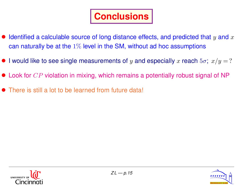## **Conclusions**

- $\bullet$  Identified a calculable source of long distance effects, and predicted that  $y$  and  $x$ can naturally be at the  $1\%$  level in the SM, without ad hoc assumptions
- I would like to see single measurements of y and especially x reach  $5\sigma$ ;  $x/y = ?$
- $\bullet$  Look for  $CP$  violation in mixing, which remains a potentially robust signal of NP
- There is still a lot to be learned from future data!